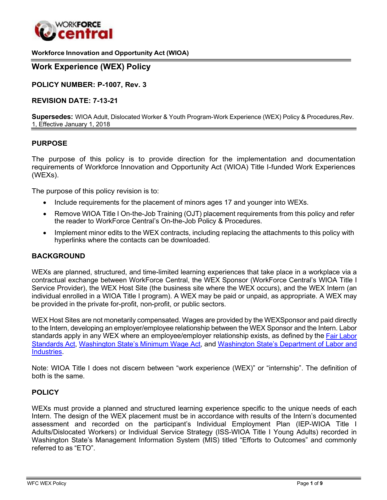

#### **Workforce Innovation and Opportunity Act (WIOA)**

## **Work Experience (WEX) Policy**

**POLICY NUMBER: P-1007, Rev. 3**

#### **REVISION DATE: 7-13-21**

**Supersedes:** WIOA Adult, Dislocated Worker & Youth Program-Work Experience (WEX) Policy & Procedures,Rev. 1, Effective January 1, 2018

#### **PURPOSE**

The purpose of this policy is to provide direction for the implementation and documentation requirements of Workforce Innovation and Opportunity Act (WIOA) Title I-funded Work Experiences (WEXs).

The purpose of this policy revision is to:

- Include requirements for the placement of minors ages 17 and younger into WEXs.
- Remove WIOA Title I On-the-Job Training (OJT) placement requirements from this policy and refer the reader to WorkForce Central's On-the-Job Policy & Procedures.
- Implement minor edits to the WEX contracts, including replacing the attachments to this policy with hyperlinks where the contacts can be downloaded.

#### **BACKGROUND**

WEXs are planned, structured, and time-limited learning experiences that take place in a workplace via a contractual exchange between WorkForce Central, the WEX Sponsor (WorkForce Central's WIOA Title I Service Provider), the WEX Host Site (the business site where the WEX occurs), and the WEX Intern (an individual enrolled in a WIOA Title I program). A WEX may be paid or unpaid, as appropriate. A WEX may be provided in the private for-profit, non-profit, or public sectors.

WEX Host Sites are not monetarily compensated. Wages are provided by the WEXSponsor and paid directly to the Intern, developing an employer/employee relationship between the WEX Sponsor and the Intern. Labor standards apply in any WEX where an employee/employer relationship exists, as defined by the Fair [Labor](https://www.dol.gov/agencies/whd/flsa) [Standards Act,](https://www.dol.gov/agencies/whd/flsa) [Washington State's Minimum Wage Act,](https://lni.wa.gov/workers-rights/wages/minimum-wage/history-of-washington-states-minimum-wage) and [Washington State's Department of Labor and](https://www.lni.wa.gov/) [Industries.](https://www.lni.wa.gov/)

Note: WIOA Title I does not discern between "work experience (WEX)" or "internship". The definition of both is the same.

#### **POLICY**

WEXs must provide a planned and structured learning experience specific to the unique needs of each Intern. The design of the WEX placement must be in accordance with results of the Intern's documented assessment and recorded on the participant's Individual Employment Plan (IEP-WIOA Title I Adults/Dislocated Workers) or Individual Service Strategy (ISS-WIOA Title I Young Adults) recorded in Washington State's Management Information System (MIS) titled "Efforts to Outcomes" and commonly referred to as "ETO".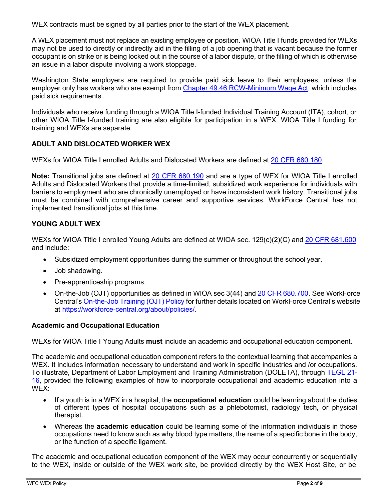WEX contracts must be signed by all parties prior to the start of the WEX placement.

A WEX placement must not replace an existing employee or position. WIOA Title I funds provided for WEXs may not be used to directly or indirectly aid in the filling of a job opening that is vacant because the former occupant is on strike or is being locked out in the course of a labor dispute, or the filling of which is otherwise an issue in a labor dispute involving a work stoppage.

Washington State employers are required to provide paid sick leave to their employees, unless the employer only has workers who are exempt from Chapter 49.46 [RCW-Minimum](https://app.leg.wa.gov/rcw/default.aspx?cite=49.46) Wage Act, which includes paid sick requirements.

Individuals who receive funding through a WIOA Title I-funded Individual Training Account (ITA), cohort, or other WIOA Title I-funded training are also eligible for participation in a WEX. WIOA Title I funding for training and WEXs are separate.

# **ADULT AND DISLOCATED WORKER WEX**

WEXs for WIOA Title I enrolled Adults and Dislocated Workers are defined at [20 CFR 680.180.](https://ecfr.federalregister.gov/current/title-20/chapter-V/part-680/subpart-A/section-680.180)

**Note:** Transitional jobs are defined at [20 CFR 680.190](https://www.govinfo.gov/content/pkg/CFR-2017-title20-vol4/xml/CFR-2017-title20-vol4-part680.xml#seqnum680.190) and are a type of WEX for WIOA Title I enrolled Adults and Dislocated Workers that provide a time-limited, subsidized work experience for individuals with barriers to employment who are chronically unemployed or have inconsistent work history. Transitional jobs must be combined with comprehensive career and supportive services. WorkForce Central has not implemented transitional jobs at this time.

# **YOUNG ADULT WEX**

WEXs for WIOA Title I enrolled Young Adults are defined at WIOA sec. 129(c)(2)(C) and [20 CFR 681.600](https://www.govinfo.gov/app/details/CFR-2017-title20-vol4/CFR-2017-title20-vol4-sec681-600) and include:

- Subsidized employment opportunities during the summer or throughout the school year.
- Job shadowing.
- Pre-apprenticeship programs.
- On-the-Job (OJT) opportunities as defined in WIOA sec 3(44) and 20 CFR [680.700.](https://www.govinfo.gov/app/details/CFR-2017-title20-vol4/CFR-2017-title20-vol4-sec680-700) See WorkForce Central's [On-the-Job](https://workforce-central.org/about/policies/) Training (OJT) Policy for further details located on WorkForce Central's website at [https://workforce-central.org/about/policies/.](https://workforce-central.org/about/policies/)

### **Academic and Occupational Education**

WEXs for WIOA Title I Young Adults **must** include an academic and occupational education component.

The academic and occupational education component refers to the contextual learning that accompanies a WEX. It includes information necessary to understand and work in specific industries and /or occupations. To illustrate, Department of Labor Employment and Training Administration (DOLETA), through [TEGL 21-](https://wdr.doleta.gov/directives/attach/TEGL/TEGL_21-16.pdf) [16,](https://wdr.doleta.gov/directives/attach/TEGL/TEGL_21-16.pdf) provided the following examples of how to incorporate occupational and academic education into a WEX:

- If a youth is in a WEX in a hospital, the **occupational education** could be learning about the duties of different types of hospital occupations such as a phlebotomist, radiology tech, or physical therapist.
- Whereas the **academic education** could be learning some of the information individuals in those occupations need to know such as why blood type matters, the name of a specific bone in the body, or the function of a specific ligament.

The academic and occupational education component of the WEX may occur concurrently or sequentially to the WEX, inside or outside of the WEX work site, be provided directly by the WEX Host Site, or be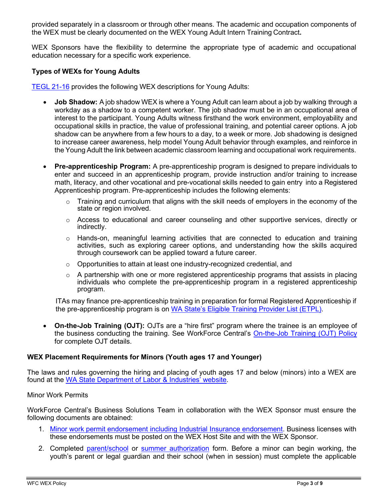provided separately in a classroom or through other means. The academic and occupation components of the WEX must be clearly documented on the WEX Young Adult Intern Training Contract**.**

WEX Sponsors have the flexibility to determine the appropriate type of academic and occupational education necessary for a specific work experience.

## **Types of WEXs for Young Adults**

[TEGL](https://wdr.doleta.gov/directives/attach/TEGL/TEGL_21-16.pdf) 21-16 provides the following WEX descriptions for Young Adults:

- **Job Shadow:** A job shadow WEX is where a Young Adult can learn about a job by walking through a workday as a shadow to a competent worker. The job shadow must be in an occupational area of interest to the participant. Young Adults witness firsthand the work environment, employability and occupational skills in practice, the value of professional training, and potential career options. A job shadow can be anywhere from a few hours to a day, to a week or more. Job shadowing is designed to increase career awareness, help model Young Adult behavior through examples, and reinforce in the Young Adult the link between academic classroom learning and occupational work requirements.
- **Pre-apprenticeship Program:** A pre-apprenticeship program is designed to prepare individuals to enter and succeed in an apprenticeship program, provide instruction and/or training to increase math, literacy, and other vocational and pre-vocational skills needed to gain entry into a Registered Apprenticeship program. Pre-apprenticeship includes the following elements:
	- Training and curriculum that aligns with the skill needs of employers in the economy of the state or region involved.
	- $\circ$  Access to educational and career counseling and other supportive services, directly or indirectly.
	- $\circ$  Hands-on, meaningful learning activities that are connected to education and training activities, such as exploring career options, and understanding how the skills acquired through coursework can be applied toward a future career.
	- o Opportunities to attain at least one industry-recognized credential, and
	- $\circ$  A partnership with one or more registered apprenticeship programs that assists in placing individuals who complete the pre-apprenticeship program in a registered apprenticeship program.

ITAs may finance pre-apprenticeship training in preparation for formal Registered Apprenticeship if the pre-apprenticeship program is on WA State's [Eligible Training](https://www.careerbridge.wa.gov/Page.aspx?cid=Eligible_Training_Provider_List) Provider List (ETPL).

• **On-the-Job Training (OJT):** OJTs are a "hire first" program where the trainee is an employee of the business conducting the training. See WorkForce Central's [On-the-Job Training \(OJT\) Policy](https://workforce-central.org/about/policies/) for complete OJT details.

### **WEX Placement Requirements for Minors (Youth ages 17 and Younger)**

The laws and rules governing the hiring and placing of youth ages 17 and below (minors) into a WEX are found at the WA State Department [of Labor & Industries' website.](https://www.lni.wa.gov/workers-rights/youth-employment/how-to-hire-minors)

### Minor Work Permits

WorkForce Central's Business Solutions Team in collaboration with the WEX Sponsor must ensure the following documents are obtained:

- 1. Minor work permit endorsement including Industrial Insurance [endorsement.](https://dor.wa.gov/manage-business/state-endorsements/minor-work-permit) Business licenses with these endorsements must be posted on the WEX Host Site and with the WEX Sponsor.
- 2. Completed [parent/school](https://lni.wa.gov/forms-publications/F700-002-000.pdf) or summer [authorization](https://www.lni.wa.gov/forms-publications/F700-168-000.pdf) form. Before a minor can begin working, the youth's parent or legal guardian and their school (when in session) must complete the applicable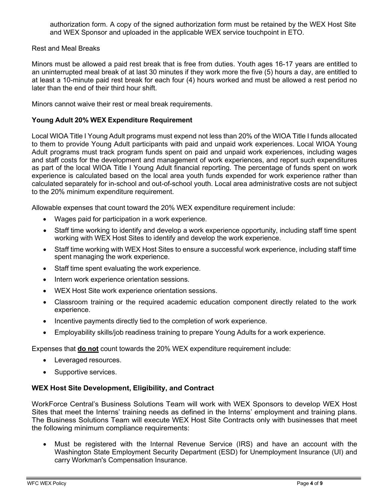authorization form. A copy of the signed authorization form must be retained by the WEX Host Site and WEX Sponsor and uploaded in the applicable WEX service touchpoint in ETO.

Rest and Meal Breaks

Minors must be allowed a paid rest break that is free from duties. Youth ages 16-17 years are entitled to an uninterrupted meal break of at last 30 minutes if they work more the five (5) hours a day, are entitled to at least a 10-minute paid rest break for each four (4) hours worked and must be allowed a rest period no later than the end of their third hour shift.

Minors cannot waive their rest or meal break requirements.

#### **Young Adult 20% WEX Expenditure Requirement**

Local WIOA Title I Young Adult programs must expend not less than 20% of the WIOA Title I funds allocated to them to provide Young Adult participants with paid and unpaid work experiences. Local WIOA Young Adult programs must track program funds spent on paid and unpaid work experiences, including wages and staff costs for the development and management of work experiences, and report such expenditures as part of the local WIOA Title I Young Adult financial reporting. The percentage of funds spent on work experience is calculated based on the local area youth funds expended for work experience rather than calculated separately for in-school and out-of-school youth. Local area administrative costs are not subject to the 20% minimum expenditure requirement.

Allowable expenses that count toward the 20% WEX expenditure requirement include:

- Wages paid for participation in a work experience.
- Staff time working to identify and develop a work experience opportunity, including staff time spent working with WEX Host Sites to identify and develop the work experience.
- Staff time working with WEX Host Sites to ensure a successful work experience, including staff time spent managing the work experience.
- Staff time spent evaluating the work experience.
- Intern work experience orientation sessions.
- WEX Host Site work experience orientation sessions.
- Classroom training or the required academic education component directly related to the work experience.
- Incentive payments directly tied to the completion of work experience.
- Employability skills/job readiness training to prepare Young Adults for a work experience.

Expenses that **do not** count towards the 20% WEX expenditure requirement include:

- Leveraged resources.
- Supportive services.

### **WEX Host Site Development, Eligibility, and Contract**

WorkForce Central's Business Solutions Team will work with WEX Sponsors to develop WEX Host Sites that meet the Interns' training needs as defined in the Interns' employment and training plans. The Business Solutions Team will execute WEX Host Site Contracts only with businesses that meet the following minimum compliance requirements:

• Must be registered with the Internal Revenue Service (IRS) and have an account with the Washington State Employment Security Department (ESD) for Unemployment Insurance (UI) and carry Workman's Compensation Insurance.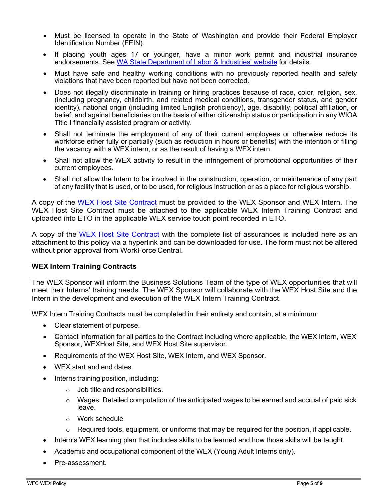- Must be licensed to operate in the State of Washington and provide their Federal Employer Identification Number (FEIN).
- If placing youth ages 17 or younger, have a minor work permit and industrial insurance endorsements. See WA State Department of Labor [& Industries'](https://www.lni.wa.gov/workers-rights/youth-employment/how-to-hire-minors) website for details.
- Must have safe and healthy working conditions with no previously reported health and safety violations that have been reported but have not been corrected.
- Does not illegally discriminate in training or hiring practices because of race, color, religion, sex, (including pregnancy, childbirth, and related medical conditions, transgender status, and gender identity), national origin (including limited English proficiency), age, disability, political affiliation, or belief, and against beneficiaries on the basis of either citizenship status or participation in any WIOA Title I financially assisted program or activity.
- Shall not terminate the employment of any of their current employees or otherwise reduce its workforce either fully or partially (such as reduction in hours or benefits) with the intention of filling the vacancy with a WEX intern, or as the result of having a WEX intern.
- Shall not allow the WEX activity to result in the infringement of promotional opportunities of their current employees.
- Shall not allow the Intern to be involved in the construction, operation, or maintenance of any part of any facility that is used, or to be used, for religious instruction or as a place for religious worship.

A copy of the [WEX Host Site Contract](https://workforce-central.org/wp-content/uploads/2021/06/wex-host-site-contract.pdf) must be provided to the WEX Sponsor and WEX Intern. The WEX Host Site Contract must be attached to the applicable WEX Intern Training Contract and uploaded into ETO in the applicable WEX service touch point recorded in ETO.

A copy of the [WEX Host Site Contract](https://workforce-central.org/wp-content/uploads/2021/06/wex-host-site-contract.pdf) with the complete list of assurances is included here as an attachment to this policy via a hyperlink and can be downloaded for use. The form must not be altered without prior approval from WorkForce Central.

### **WEX Intern Training Contracts**

The WEX Sponsor will inform the Business Solutions Team of the type of WEX opportunities that will meet their Interns' training needs. The WEX Sponsor will collaborate with the WEX Host Site and the Intern in the development and execution of the WEX Intern Training Contract.

WEX Intern Training Contracts must be completed in their entirety and contain, at a minimum:

- Clear statement of purpose.
- Contact information for all parties to the Contract including where applicable, the WEX Intern, WEX Sponsor, WEXHost Site, and WEX Host Site supervisor.
- Requirements of the WEX Host Site, WEX Intern, and WEX Sponsor.
- WEX start and end dates.
- Interns training position, including:
	- $\circ$  Job title and responsibilities.
	- $\circ$  Wages: Detailed computation of the anticipated wages to be earned and accrual of paid sick leave.
	- o Work schedule
	- $\circ$  Required tools, equipment, or uniforms that may be required for the position, if applicable.
- Intern's WEX learning plan that includes skills to be learned and how those skills will be taught.
- Academic and occupational component of the WEX (Young Adult Interns only).
- Pre-assessment.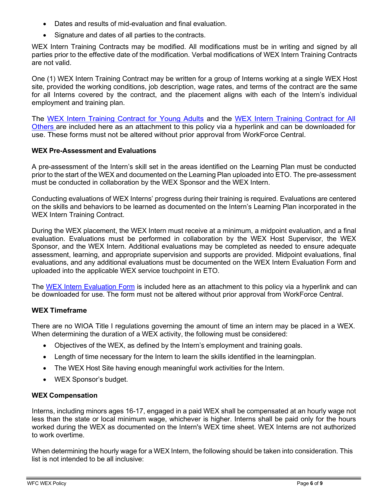- Dates and results of mid-evaluation and final evaluation.
- Signature and dates of all parties to the contracts.

WEX Intern Training Contracts may be modified. All modifications must be in writing and signed by all parties prior to the effective date of the modification. Verbal modifications of WEX Intern Training Contracts are not valid.

One (1) WEX Intern Training Contract may be written for a group of Interns working at a single WEX Host site, provided the working conditions, job description, wage rates, and terms of the contract are the same for all Interns covered by the contract, and the placement aligns with each of the Intern's individual employment and training plan.

The [WEX Intern Training Contract for Young Adults](https://workforce-central.org/wp-content/uploads/2021/06/ya-wex-contract.pdf) and the [WEX Intern Training Contract for All](https://workforce-central.org/wp-content/uploads/2021/06/adult-dw-all-other-wex-contract.pdf) [Others a](https://workforce-central.org/wp-content/uploads/2021/06/adult-dw-all-other-wex-contract.pdf)re included here as an attachment to this policy via a hyperlink and can be downloaded for use. These forms must not be altered without prior approval from WorkForce Central.

### **WEX Pre-Assessment and Evaluations**

A pre-assessment of the Intern's skill set in the areas identified on the Learning Plan must be conducted prior to the start of the WEX and documented on the Learning Plan uploaded into ETO. The pre-assessment must be conducted in collaboration by the WEX Sponsor and the WEX Intern.

Conducting evaluations of WEX Interns' progress during their training is required. Evaluations are centered on the skills and behaviors to be learned as documented on the Intern's Learning Plan incorporated in the WEX Intern Training Contract.

During the WEX placement, the WEX Intern must receive at a minimum, a midpoint evaluation, and a final evaluation. Evaluations must be performed in collaboration by the WEX Host Supervisor, the WEX Sponsor, and the WEX Intern. Additional evaluations may be completed as needed to ensure adequate assessment, learning, and appropriate supervision and supports are provided. Midpoint evaluations, final evaluations, and any additional evaluations must be documented on the WEX Intern Evaluation Form and uploaded into the applicable WEX service touchpoint in ETO.

The [WEX Intern Evaluation Form](https://workforce-central.org/wp-content/uploads/2021/06/intern-evaluation-form.pdf) is included here as an attachment to this policy via a hyperlink and can be downloaded for use. The form must not be altered without prior approval from WorkForce Central.

# **WEX Timeframe**

There are no WIOA Title I regulations governing the amount of time an intern may be placed in a WEX. When determining the duration of a WEX activity, the following must be considered:

- Objectives of the WEX, as defined by the Intern's employment and training goals.
- Length of time necessary for the Intern to learn the skills identified in the learningplan.
- The WEX Host Site having enough meaningful work activities for the Intern.
- WEX Sponsor's budget.

### **WEX Compensation**

Interns, including minors ages 16-17, engaged in a paid WEX shall be compensated at an hourly wage not less than the state or local minimum wage, whichever is higher. Interns shall be paid only for the hours worked during the WEX as documented on the Intern's WEX time sheet. WEX Interns are not authorized to work overtime.

When determining the hourly wage for a WEX Intern, the following should be taken into consideration. This list is not intended to be all inclusive: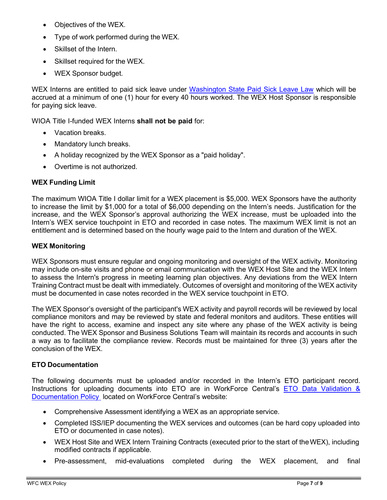- Objectives of the WEX.
- Type of work performed during the WEX.
- Skillset of the Intern.
- Skillset required for the WEX.
- WEX Sponsor budget.

WEX Interns are entitled to paid sick leave under [Washington State Paid Sick Leave Law](https://lni.wa.gov/workers-rights/leave/paid-sick-leave/paid-sick-leave-minimum-requirements#%3A%7E%3Atext%3DWashington%20state%20law%20requires%20employers%2Csick%20leave%20to%20their%20employees.%26text%3DAt%20a%20minimum%2C%20employees%20must%2C%2C%20temporary%2C%20or%20seasonal%20status) which will be accrued at a minimum of one (1) hour for every 40 hours worked. The WEX Host Sponsor is responsible for paying sick leave.

WIOA Title I-funded WEX Interns **shall not be paid** for:

- Vacation breaks.
- Mandatory lunch breaks.
- A holiday recognized by the WEX Sponsor as a "paid holiday".
- Overtime is not authorized.

## **WEX Funding Limit**

The maximum WIOA Title I dollar limit for a WEX placement is \$5,000. WEX Sponsors have the authority to increase the limit by \$1,000 for a total of \$6,000 depending on the Intern's needs. Justification for the increase, and the WEX Sponsor's approval authorizing the WEX increase, must be uploaded into the Intern's WEX service touchpoint in ETO and recorded in case notes. The maximum WEX limit is not an entitlement and is determined based on the hourly wage paid to the Intern and duration of the WEX.

## **WEX Monitoring**

WEX Sponsors must ensure regular and ongoing monitoring and oversight of the WEX activity. Monitoring may include on-site visits and phone or email communication with the WEX Host Site and the WEX Intern to assess the Intern's progress in meeting learning plan objectives. Any deviations from the WEX Intern Training Contract must be dealt with immediately. Outcomes of oversight and monitoring of the WEX activity must be documented in case notes recorded in the WEX service touchpoint in ETO.

The WEX Sponsor's oversight of the participant's WEX activity and payroll records will be reviewed by local compliance monitors and may be reviewed by state and federal monitors and auditors. These entities will have the right to access, examine and inspect any site where any phase of the WEX activity is being conducted. The WEX Sponsor and Business Solutions Team will maintain its records and accounts in such a way as to facilitate the compliance review. Records must be maintained for three (3) years after the conclusion of the WEX.

# **ETO Documentation**

The following documents must be uploaded and/or recorded in the Intern's ETO participant record. Instructions for uploading documents into ETO are in WorkForce Central's ETO Data [Validation](https://workforce-central.org/about/policies/) & [Documentation](https://workforce-central.org/about/policies/) Policy located on WorkForce Central's website:

- Comprehensive Assessment identifying a WEX as an appropriate service.
- Completed ISS/IEP documenting the WEX services and outcomes (can be hard copy uploaded into ETO or documented in case notes).
- WEX Host Site and WEX Intern Training Contracts (executed prior to the start of theWEX), including modified contracts if applicable.
- Pre-assessment, mid-evaluations completed during the WEX placement, and final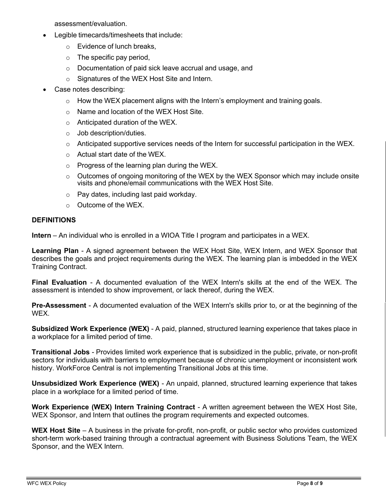assessment/evaluation.

- Legible timecards/timesheets that include:
	- o Evidence of lunch breaks,
	- $\circ$  The specific pay period,
	- o Documentation of paid sick leave accrual and usage, and
	- o Signatures of the WEX Host Site and Intern.
- Case notes describing:
	- $\circ$  How the WEX placement aligns with the Intern's employment and training goals.
	- o Name and location of the WEX Host Site.
	- o Anticipated duration of the WEX.
	- o Job description/duties.
	- $\circ$  Anticipated supportive services needs of the Intern for successful participation in the WEX.
	- o Actual start date of the WEX.
	- $\circ$  Progress of the learning plan during the WEX.
	- $\circ$  Outcomes of ongoing monitoring of the WEX by the WEX Sponsor which may include onsite visits and phone/email communications with the WEX Host Site.
	- o Pay dates, including last paid workday.
	- o Outcome of the WEX.

### **DEFINITIONS**

**Intern** – An individual who is enrolled in a WIOA Title I program and participates in a WEX.

**Learning Plan** - A signed agreement between the WEX Host Site, WEX Intern, and WEX Sponsor that describes the goals and project requirements during the WEX. The learning plan is imbedded in the WEX Training Contract.

**Final Evaluation** - A documented evaluation of the WEX Intern's skills at the end of the WEX. The assessment is intended to show improvement, or lack thereof, during the WEX.

**Pre-Assessment** - A documented evaluation of the WEX Intern's skills prior to, or at the beginning of the WEX.

**Subsidized Work Experience (WEX)** - A paid, planned, structured learning experience that takes place in a workplace for a limited period of time.

**Transitional Jobs** - Provides limited work experience that is subsidized in the public, private, or non-profit sectors for individuals with barriers to employment because of chronic unemployment or inconsistent work history. WorkForce Central is not implementing Transitional Jobs at this time.

**Unsubsidized Work Experience (WEX)** - An unpaid, planned, structured learning experience that takes place in a workplace for a limited period of time.

**Work Experience (WEX) Intern Training Contract** - A written agreement between the WEX Host Site, WEX Sponsor, and Intern that outlines the program requirements and expected outcomes.

WEX Host Site – A business in the private for-profit, non-profit, or public sector who provides customized short-term work-based training through a contractual agreement with Business Solutions Team, the WEX Sponsor, and the WEX Intern.